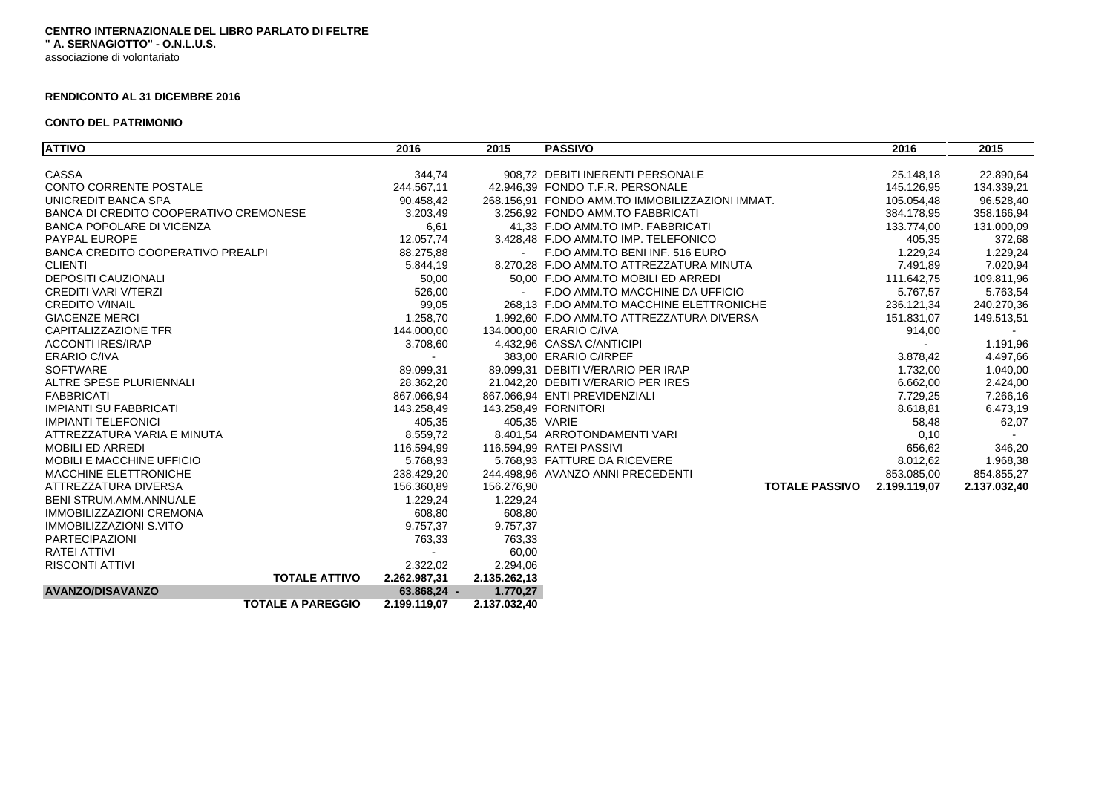## **CENTRO INTERNAZIONALE DEL LIBRO PARLATO DI FELTRE " A. SERNAGIOTTO" - O.N.L.U.S.** associazione di volontariato

## **RENDICONTO AL 31 DICEMBRE 2016**

## **CONTO DEL PATRIMONIO**

| <b>ATTIVO</b>                          |                          | 2016          | 2015         | <b>PASSIVO</b>                                  | 2016         | 2015         |
|----------------------------------------|--------------------------|---------------|--------------|-------------------------------------------------|--------------|--------------|
|                                        |                          |               |              |                                                 |              |              |
| <b>CASSA</b>                           |                          | 344,74        |              | 908.72 DEBITI INERENTI PERSONALE                | 25.148,18    | 22.890,64    |
| CONTO CORRENTE POSTALE                 |                          | 244.567,11    |              | 42.946.39 FONDO T.F.R. PERSONALE                | 145.126.95   | 134.339,21   |
| UNICREDIT BANCA SPA                    |                          | 90.458.42     |              | 268.156.91 FONDO AMM.TO IMMOBILIZZAZIONI IMMAT. | 105.054,48   | 96.528,40    |
| BANCA DI CREDITO COOPERATIVO CREMONESE |                          | 3.203,49      |              | 3.256.92 FONDO AMM.TO FABBRICATI                | 384.178,95   | 358.166,94   |
| <b>BANCA POPOLARE DI VICENZA</b>       |                          | 6,61          |              | 41.33 F.DO AMM.TO IMP. FABBRICATI               | 133.774,00   | 131.000,09   |
| PAYPAL EUROPE                          |                          | 12.057,74     |              | 3.428.48 F.DO AMM.TO IMP. TELEFONICO            | 405.35       | 372,68       |
| BANCA CREDITO COOPERATIVO PREALPI      |                          | 88.275,88     | $\sim$       | F.DO AMM.TO BENI INF. 516 EURO                  | 1.229,24     | 1.229,24     |
| <b>CLIENTI</b>                         |                          | 5.844,19      |              | 8.270.28 F.DO AMM.TO ATTREZZATURA MINUTA        | 7.491,89     | 7.020,94     |
| <b>DEPOSITI CAUZIONALI</b>             |                          | 50,00         |              | 50.00 F.DO AMM.TO MOBILI ED ARREDI              | 111.642,75   | 109.811,96   |
| CREDITI VARI V/TERZI                   |                          | 526,00        |              | - F.DO AMM.TO MACCHINE DA UFFICIO               | 5.767,57     | 5.763,54     |
| <b>CREDITO V/INAIL</b>                 |                          | 99,05         |              | 268.13 F.DO AMM.TO MACCHINE ELETTRONICHE        | 236.121,34   | 240.270,36   |
| <b>GIACENZE MERCI</b>                  |                          | 1.258,70      |              | 1.992.60 F.DO AMM.TO ATTREZZATURA DIVERSA       | 151.831,07   | 149.513,51   |
| CAPITALIZZAZIONE TFR                   |                          | 144.000,00    |              | 134.000,00 ERARIO C/IVA                         | 914,00       |              |
| <b>ACCONTI IRES/IRAP</b>               |                          | 3.708,60      |              | 4.432,96 CASSA C/ANTICIPI                       |              | 1.191,96     |
| <b>ERARIO C/IVA</b>                    |                          |               |              | 383.00 ERARIO C/IRPEF                           | 3.878,42     | 4.497,66     |
| <b>SOFTWARE</b>                        |                          | 89.099,31     |              | 89.099.31 DEBITI V/ERARIO PER IRAP              | 1.732,00     | 1.040,00     |
| ALTRE SPESE PLURIENNALI                |                          | 28.362,20     |              | 21.042.20 DEBITI V/ERARIO PER IRES              | 6.662,00     | 2.424,00     |
| <b>FABBRICATI</b>                      |                          | 867.066,94    |              | 867.066,94 ENTI PREVIDENZIALI                   | 7.729,25     | 7.266,16     |
| <b>IMPIANTI SU FABBRICATI</b>          |                          | 143.258,49    |              | 143.258,49 FORNITORI                            | 8.618,81     | 6.473,19     |
| <b>IMPIANTI TELEFONICI</b>             |                          | 405,35        | 405,35 VARIE |                                                 | 58,48        | 62,07        |
| ATTREZZATURA VARIA E MINUTA            |                          | 8.559,72      |              | 8.401,54 ARROTONDAMENTI VARI                    | 0, 10        | $\sim$       |
| <b>MOBILI ED ARREDI</b>                |                          | 116.594,99    |              | 116.594,99 RATEI PASSIVI                        | 656,62       | 346,20       |
| <b>MOBILI E MACCHINE UFFICIO</b>       |                          | 5.768,93      |              | 5.768.93 FATTURE DA RICEVERE                    | 8.012,62     | 1.968,38     |
| <b>MACCHINE ELETTRONICHE</b>           |                          | 238.429,20    |              | 244.498.96 AVANZO ANNI PRECEDENTI               | 853.085,00   | 854.855,27   |
| ATTREZZATURA DIVERSA                   |                          | 156.360,89    | 156.276,90   | <b>TOTALE PASSIVO</b>                           | 2.199.119,07 | 2.137.032,40 |
| <b>BENI STRUM.AMM.ANNUALE</b>          |                          | 1.229,24      | 1.229,24     |                                                 |              |              |
| <b>IMMOBILIZZAZIONI CREMONA</b>        |                          | 608,80        | 608,80       |                                                 |              |              |
| <b>IMMOBILIZZAZIONI S.VITO</b>         |                          | 9.757,37      | 9.757,37     |                                                 |              |              |
| <b>PARTECIPAZIONI</b>                  |                          | 763,33        | 763,33       |                                                 |              |              |
| RATEI ATTIVI                           |                          |               | 60,00        |                                                 |              |              |
| <b>RISCONTI ATTIVI</b>                 |                          | 2.322,02      | 2.294,06     |                                                 |              |              |
|                                        | <b>TOTALE ATTIVO</b>     | 2.262.987,31  | 2.135.262,13 |                                                 |              |              |
| <b>AVANZO/DISAVANZO</b>                |                          | $63.868,24 -$ | 1.770,27     |                                                 |              |              |
|                                        | <b>TOTALE A PAREGGIO</b> | 2.199.119,07  | 2.137.032,40 |                                                 |              |              |